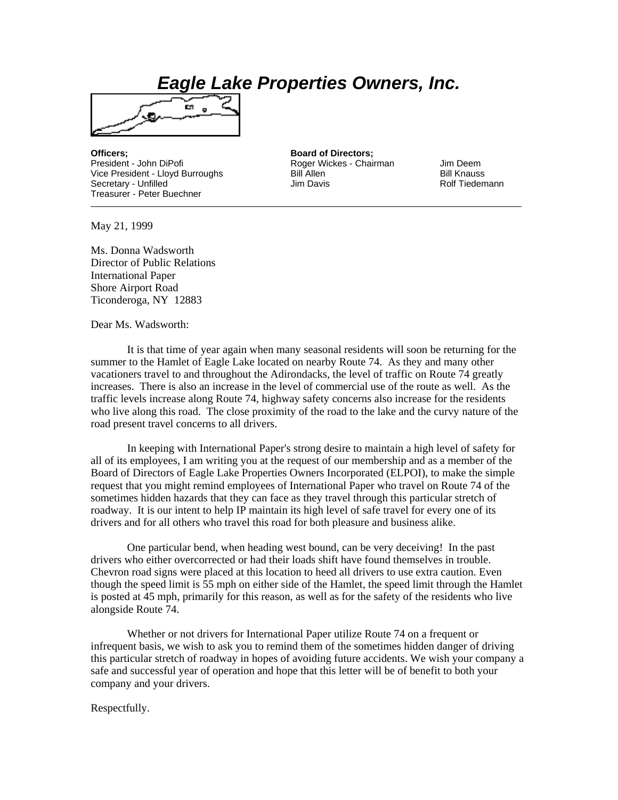## *Eagle Lake Properties Owners, Inc.*



President - John DiPofi **Roger Wickes - Chairman** Jim Deem<br>Vice President - Lloyd Burroughs **Rill Allen** Bill Allen Vice President - Lloyd Burroughs Bill Allen Bill Allen Bill Knauss Secretary - Unfilled **Contains a Container Secretary - Unfilled** Jim Davis **Contains Rolf Tiedemann** Treasurer - Peter Buechner

**Officers; Board of Directors;**

May 21, 1999

Ms. Donna Wadsworth Director of Public Relations International Paper Shore Airport Road Ticonderoga, NY 12883

Dear Ms. Wadsworth:

 It is that time of year again when many seasonal residents will soon be returning for the summer to the Hamlet of Eagle Lake located on nearby Route 74. As they and many other vacationers travel to and throughout the Adirondacks, the level of traffic on Route 74 greatly increases. There is also an increase in the level of commercial use of the route as well. As the traffic levels increase along Route 74, highway safety concerns also increase for the residents who live along this road. The close proximity of the road to the lake and the curvy nature of the road present travel concerns to all drivers.

 In keeping with International Paper's strong desire to maintain a high level of safety for all of its employees, I am writing you at the request of our membership and as a member of the Board of Directors of Eagle Lake Properties Owners Incorporated (ELPOI), to make the simple request that you might remind employees of International Paper who travel on Route 74 of the sometimes hidden hazards that they can face as they travel through this particular stretch of roadway. It is our intent to help IP maintain its high level of safe travel for every one of its drivers and for all others who travel this road for both pleasure and business alike.

 One particular bend, when heading west bound, can be very deceiving! In the past drivers who either overcorrected or had their loads shift have found themselves in trouble. Chevron road signs were placed at this location to heed all drivers to use extra caution. Even though the speed limit is 55 mph on either side of the Hamlet, the speed limit through the Hamlet is posted at 45 mph, primarily for this reason, as well as for the safety of the residents who live alongside Route 74.

 Whether or not drivers for International Paper utilize Route 74 on a frequent or infrequent basis, we wish to ask you to remind them of the sometimes hidden danger of driving this particular stretch of roadway in hopes of avoiding future accidents. We wish your company a safe and successful year of operation and hope that this letter will be of benefit to both your company and your drivers.

Respectfully.